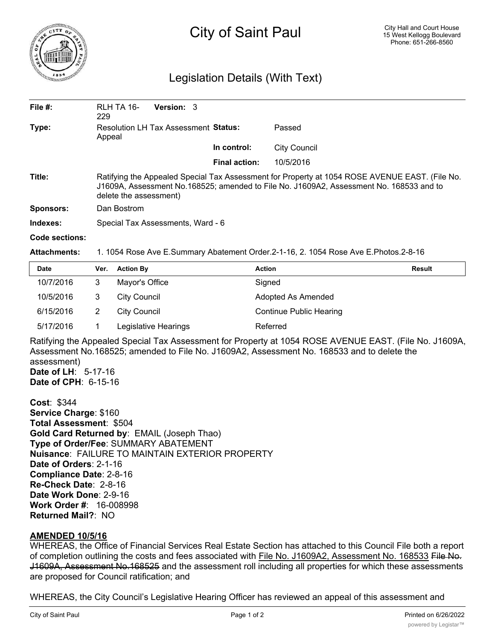

# City of Saint Paul

## Legislation Details (With Text)

| File $#$ :       | RLH TA 16-<br>229                                                                                                                                                                                                   | <b>Version: 3</b> |                      |                     |  |  |
|------------------|---------------------------------------------------------------------------------------------------------------------------------------------------------------------------------------------------------------------|-------------------|----------------------|---------------------|--|--|
| Type:            | Resolution LH Tax Assessment Status:<br>Appeal                                                                                                                                                                      |                   |                      | Passed              |  |  |
|                  |                                                                                                                                                                                                                     |                   | In control:          | <b>City Council</b> |  |  |
|                  |                                                                                                                                                                                                                     |                   | <b>Final action:</b> | 10/5/2016           |  |  |
| Title:           | Ratifying the Appealed Special Tax Assessment for Property at 1054 ROSE AVENUE EAST. (File No.<br>J1609A, Assessment No.168525; amended to File No. J1609A2, Assessment No. 168533 and to<br>delete the assessment) |                   |                      |                     |  |  |
| <b>Sponsors:</b> | Dan Bostrom                                                                                                                                                                                                         |                   |                      |                     |  |  |
| Indexes:         | Special Tax Assessments, Ward - 6                                                                                                                                                                                   |                   |                      |                     |  |  |
| Code sections:   |                                                                                                                                                                                                                     |                   |                      |                     |  |  |

#### **Attachments:** 1. 1054 Rose Ave E.Summary Abatement Order.2-1-16, 2. 1054 Rose Ave E.Photos.2-8-16

| <b>Date</b> | Ver. | <b>Action By</b>     | <b>Action</b>                  | <b>Result</b> |
|-------------|------|----------------------|--------------------------------|---------------|
| 10/7/2016   | 3    | Mayor's Office       | Signed                         |               |
| 10/5/2016   | 3    | City Council         | Adopted As Amended             |               |
| 6/15/2016   |      | City Council         | <b>Continue Public Hearing</b> |               |
| 5/17/2016   |      | Legislative Hearings | Referred                       |               |

Ratifying the Appealed Special Tax Assessment for Property at 1054 ROSE AVENUE EAST. (File No. J1609A, Assessment No.168525; amended to File No. J1609A2, Assessment No. 168533 and to delete the assessment) **Date of LH**: 5-17-16

**Date of CPH**: 6-15-16

**Cost**: \$344 **Service Charge**: \$160 **Total Assessment**: \$504 **Gold Card Returned by**: EMAIL (Joseph Thao) **Type of Order/Fee**: SUMMARY ABATEMENT **Nuisance**: FAILURE TO MAINTAIN EXTERIOR PROPERTY **Date of Orders**: 2-1-16 **Compliance Date**: 2-8-16 **Re-Check Date**: 2-8-16 **Date Work Done**: 2-9-16 **Work Order #**: 16-008998 **Returned Mail?**: NO

### **AMENDED 10/5/16**

WHEREAS, the Office of Financial Services Real Estate Section has attached to this Council File both a report of completion outlining the costs and fees associated with File No. J1609A2, Assessment No. 168533 File No. J1609A, Assessment No.168525 and the assessment roll including all properties for which these assessments are proposed for Council ratification; and

WHEREAS, the City Council's Legislative Hearing Officer has reviewed an appeal of this assessment and